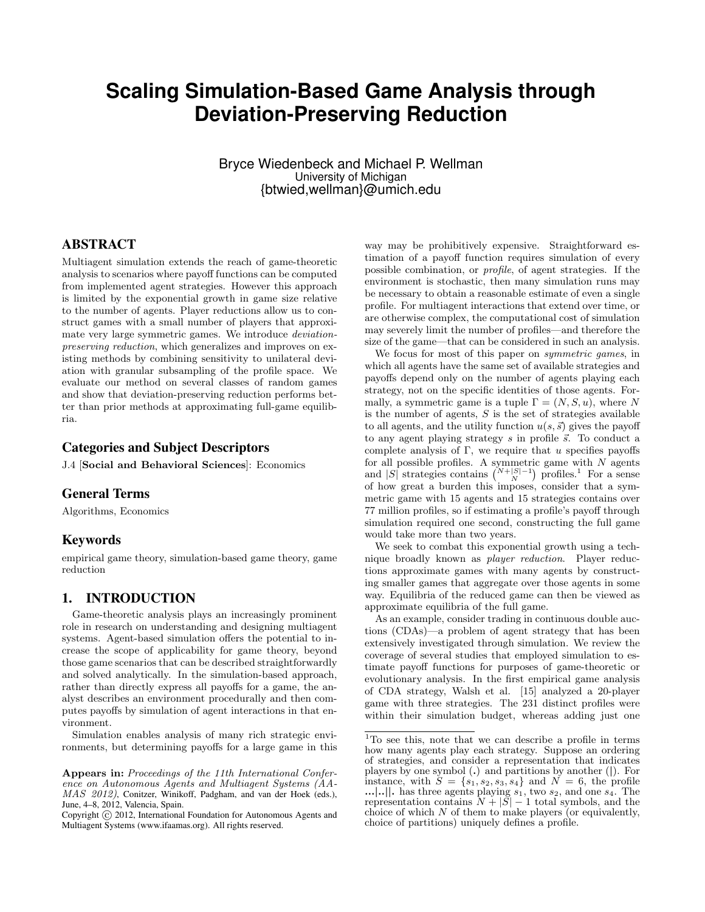# **Scaling Simulation-Based Game Analysis through Deviation-Preserving Reduction**

Bryce Wiedenbeck and Michael P. Wellman University of Michigan {btwied,wellman}@umich.edu

## ABSTRACT

Multiagent simulation extends the reach of game-theoretic analysis to scenarios where payoff functions can be computed from implemented agent strategies. However this approach is limited by the exponential growth in game size relative to the number of agents. Player reductions allow us to construct games with a small number of players that approximate very large symmetric games. We introduce deviationpreserving reduction, which generalizes and improves on existing methods by combining sensitivity to unilateral deviation with granular subsampling of the profile space. We evaluate our method on several classes of random games and show that deviation-preserving reduction performs better than prior methods at approximating full-game equilibria.

#### Categories and Subject Descriptors

J.4 [Social and Behavioral Sciences]: Economics

# General Terms

Algorithms, Economics

#### Keywords

empirical game theory, simulation-based game theory, game reduction

#### 1. INTRODUCTION

Game-theoretic analysis plays an increasingly prominent role in research on understanding and designing multiagent systems. Agent-based simulation offers the potential to increase the scope of applicability for game theory, beyond those game scenarios that can be described straightforwardly and solved analytically. In the simulation-based approach, rather than directly express all payoffs for a game, the analyst describes an environment procedurally and then computes payoffs by simulation of agent interactions in that environment.

Simulation enables analysis of many rich strategic environments, but determining payoffs for a large game in this

way may be prohibitively expensive. Straightforward estimation of a payoff function requires simulation of every possible combination, or profile, of agent strategies. If the environment is stochastic, then many simulation runs may be necessary to obtain a reasonable estimate of even a single profile. For multiagent interactions that extend over time, or are otherwise complex, the computational cost of simulation may severely limit the number of profiles—and therefore the size of the game—that can be considered in such an analysis.

We focus for most of this paper on symmetric games, in which all agents have the same set of available strategies and payoffs depend only on the number of agents playing each strategy, not on the specific identities of those agents. Formally, a symmetric game is a tuple  $\Gamma = (N, S, u)$ , where N is the number of agents,  $S$  is the set of strategies available to all agents, and the utility function  $u(s, \vec{s})$  gives the payoff to any agent playing strategy  $s$  in profile  $\vec{s}$ . To conduct a complete analysis of  $\Gamma$ , we require that u specifies payoffs for all possible profiles. A symmetric game with  $N$  agents and |S| strategies contains  $\binom{N+|S|-1}{N}$  profiles.<sup>1</sup> For a sense of how great a burden this imposes, consider that a symmetric game with 15 agents and 15 strategies contains over 77 million profiles, so if estimating a profile's payoff through simulation required one second, constructing the full game would take more than two years.

We seek to combat this exponential growth using a technique broadly known as *player reduction*. Player reductions approximate games with many agents by constructing smaller games that aggregate over those agents in some way. Equilibria of the reduced game can then be viewed as approximate equilibria of the full game.

As an example, consider trading in continuous double auctions (CDAs)—a problem of agent strategy that has been extensively investigated through simulation. We review the coverage of several studies that employed simulation to estimate payoff functions for purposes of game-theoretic or evolutionary analysis. In the first empirical game analysis of CDA strategy, Walsh et al. [15] analyzed a 20-player game with three strategies. The 231 distinct profiles were within their simulation budget, whereas adding just one

Appears in: Proceedings of the 11th International Conference on Autonomous Agents and Multiagent Systems (AA-MAS 2012), Conitzer, Winikoff, Padgham, and van der Hoek (eds.), June, 4–8, 2012, Valencia, Spain.

Copyright (C) 2012, International Foundation for Autonomous Agents and Multiagent Systems (www.ifaamas.org). All rights reserved.

<sup>1</sup>To see this, note that we can describe a profile in terms how many agents play each strategy. Suppose an ordering of strategies, and consider a representation that indicates players by one symbol (.) and partitions by another (|). For instance, with  $S = \{s_1, s_2, s_3, s_4\}$  and  $N = 6$ , the profile  $...|...|$  has three agents playing  $s_1$ , two  $s_2$ , and one  $s_4$ . The representation contains  $N + |S| - 1$  total symbols, and the choice of which  $N$  of them to make players (or equivalently, choice of partitions) uniquely defines a profile.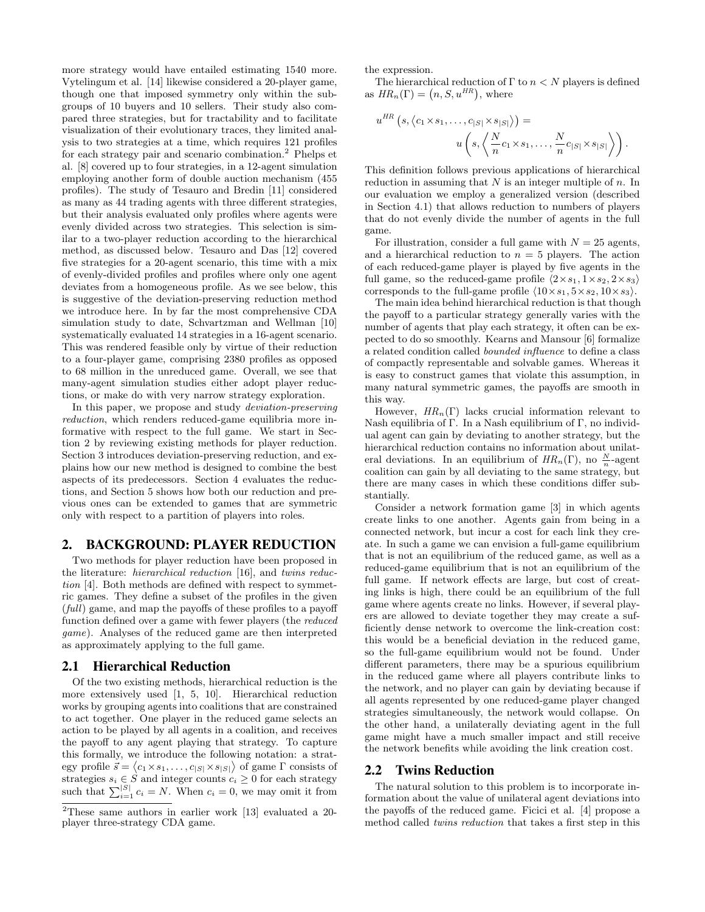more strategy would have entailed estimating 1540 more. Vytelingum et al. [14] likewise considered a 20-player game, though one that imposed symmetry only within the subgroups of 10 buyers and 10 sellers. Their study also compared three strategies, but for tractability and to facilitate visualization of their evolutionary traces, they limited analysis to two strategies at a time, which requires 121 profiles for each strategy pair and scenario combination.<sup>2</sup> Phelps et al. [8] covered up to four strategies, in a 12-agent simulation employing another form of double auction mechanism (455 profiles). The study of Tesauro and Bredin [11] considered as many as 44 trading agents with three different strategies, but their analysis evaluated only profiles where agents were evenly divided across two strategies. This selection is similar to a two-player reduction according to the hierarchical method, as discussed below. Tesauro and Das [12] covered five strategies for a 20-agent scenario, this time with a mix of evenly-divided profiles and profiles where only one agent deviates from a homogeneous profile. As we see below, this is suggestive of the deviation-preserving reduction method we introduce here. In by far the most comprehensive CDA simulation study to date, Schvartzman and Wellman [10] systematically evaluated 14 strategies in a 16-agent scenario. This was rendered feasible only by virtue of their reduction to a four-player game, comprising 2380 profiles as opposed to 68 million in the unreduced game. Overall, we see that many-agent simulation studies either adopt player reductions, or make do with very narrow strategy exploration.

In this paper, we propose and study *deviation-preserving* reduction, which renders reduced-game equilibria more informative with respect to the full game. We start in Section 2 by reviewing existing methods for player reduction. Section 3 introduces deviation-preserving reduction, and explains how our new method is designed to combine the best aspects of its predecessors. Section 4 evaluates the reductions, and Section 5 shows how both our reduction and previous ones can be extended to games that are symmetric only with respect to a partition of players into roles.

#### 2. BACKGROUND: PLAYER REDUCTION

Two methods for player reduction have been proposed in the literature: hierarchical reduction [16], and twins reduction [4]. Both methods are defined with respect to symmetric games. They define a subset of the profiles in the given (full) game, and map the payoffs of these profiles to a payoff function defined over a game with fewer players (the reduced game). Analyses of the reduced game are then interpreted as approximately applying to the full game.

## 2.1 Hierarchical Reduction

Of the two existing methods, hierarchical reduction is the more extensively used [1, 5, 10]. Hierarchical reduction works by grouping agents into coalitions that are constrained to act together. One player in the reduced game selects an action to be played by all agents in a coalition, and receives the payoff to any agent playing that strategy. To capture this formally, we introduce the following notation: a strategy profile  $\vec{s} = \langle c_1 \times s_1, \ldots, c_{|S|} \times s_{|S|} \rangle$  of game  $\Gamma$  consists of strategies  $s_i \in \hat{S}$  and integer counts  $c_i \geq 0$  for each strategy such that  $\sum_{i=1}^{|S|} c_i = N$ . When  $c_i = 0$ , we may omit it from

the expression.

The hierarchical reduction of  $\Gamma$  to  $n < N$  players is defined as  $HR_n(\Gamma) = (n, S, u^{HR}),$  where

$$
u^{HR}(s, \langle c_1 \times s_1, \ldots, c_{|S|} \times s_{|S|} \rangle) =
$$
  

$$
u\left(s, \left\langle \frac{N}{n}c_1 \times s_1, \ldots, \frac{N}{n}c_{|S|} \times s_{|S|} \right\rangle \right).
$$

This definition follows previous applications of hierarchical reduction in assuming that  $N$  is an integer multiple of  $n$ . In our evaluation we employ a generalized version (described in Section 4.1) that allows reduction to numbers of players that do not evenly divide the number of agents in the full game.

For illustration, consider a full game with  $N = 25$  agents, and a hierarchical reduction to  $n = 5$  players. The action of each reduced-game player is played by five agents in the full game, so the reduced-game profile  $\langle 2 \times s_1, 1 \times s_2, 2 \times s_3 \rangle$ corresponds to the full-game profile  $\langle 10 \times s_1, 5 \times s_2, 10 \times s_3 \rangle$ .

The main idea behind hierarchical reduction is that though the payoff to a particular strategy generally varies with the number of agents that play each strategy, it often can be expected to do so smoothly. Kearns and Mansour [6] formalize a related condition called bounded influence to define a class of compactly representable and solvable games. Whereas it is easy to construct games that violate this assumption, in many natural symmetric games, the payoffs are smooth in this way.

However,  $HR_n(\Gamma)$  lacks crucial information relevant to Nash equilibria of Γ. In a Nash equilibrium of Γ, no individual agent can gain by deviating to another strategy, but the hierarchical reduction contains no information about unilateral deviations. In an equilibrium of  $HR_n(\Gamma)$ , no  $\frac{N}{n}$ -agent coalition can gain by all deviating to the same strategy, but there are many cases in which these conditions differ substantially.

Consider a network formation game [3] in which agents create links to one another. Agents gain from being in a connected network, but incur a cost for each link they create. In such a game we can envision a full-game equilibrium that is not an equilibrium of the reduced game, as well as a reduced-game equilibrium that is not an equilibrium of the full game. If network effects are large, but cost of creating links is high, there could be an equilibrium of the full game where agents create no links. However, if several players are allowed to deviate together they may create a sufficiently dense network to overcome the link-creation cost: this would be a beneficial deviation in the reduced game, so the full-game equilibrium would not be found. Under different parameters, there may be a spurious equilibrium in the reduced game where all players contribute links to the network, and no player can gain by deviating because if all agents represented by one reduced-game player changed strategies simultaneously, the network would collapse. On the other hand, a unilaterally deviating agent in the full game might have a much smaller impact and still receive the network benefits while avoiding the link creation cost.

#### 2.2 Twins Reduction

The natural solution to this problem is to incorporate information about the value of unilateral agent deviations into the payoffs of the reduced game. Ficici et al. [4] propose a method called twins reduction that takes a first step in this

<sup>2</sup>These same authors in earlier work [13] evaluated a 20 player three-strategy CDA game.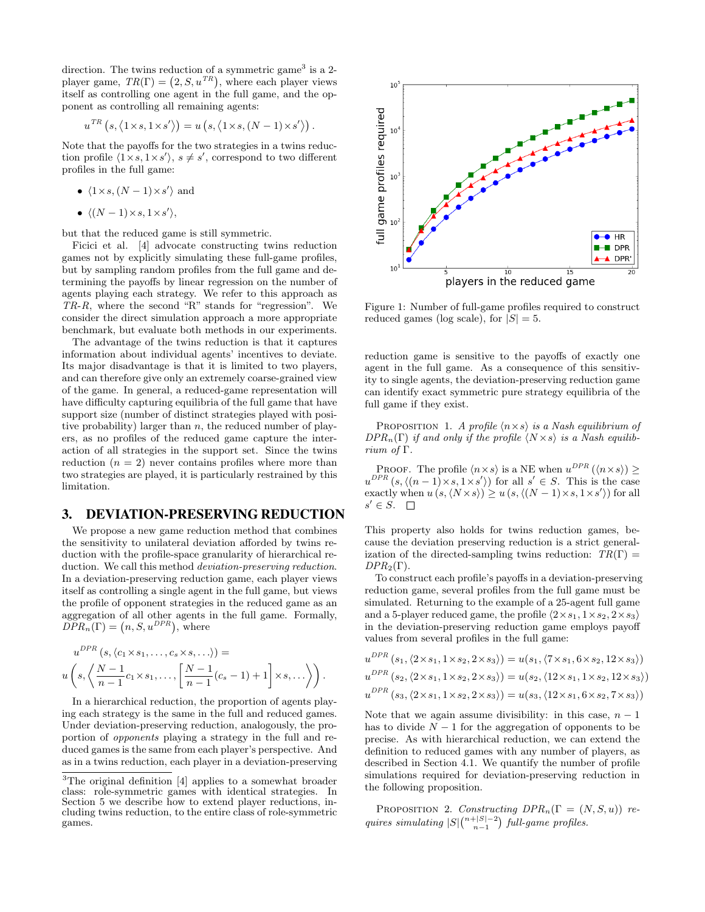direction. The twins reduction of a symmetric game<sup>3</sup> is a 2player game,  $TR(\Gamma) = (2, S, u^{TR})$ , where each player views itself as controlling one agent in the full game, and the opponent as controlling all remaining agents:

$$
u^{TR} (s, \langle 1 \times s, 1 \times s' \rangle) = u (s, \langle 1 \times s, (N-1) \times s' \rangle).
$$

Note that the payoffs for the two strategies in a twins reduction profile  $\langle 1 \times s, 1 \times s' \rangle$ ,  $s \neq s'$ , correspond to two different profiles in the full game:

- $\langle 1 \times s, (N-1) \times s' \rangle$  and
- $\langle (N-1)\times s, 1\times s' \rangle,$

but that the reduced game is still symmetric.

Ficici et al. [4] advocate constructing twins reduction games not by explicitly simulating these full-game profiles, but by sampling random profiles from the full game and determining the payoffs by linear regression on the number of agents playing each strategy. We refer to this approach as TR-R, where the second "R" stands for "regression". We consider the direct simulation approach a more appropriate benchmark, but evaluate both methods in our experiments.

The advantage of the twins reduction is that it captures information about individual agents' incentives to deviate. Its major disadvantage is that it is limited to two players, and can therefore give only an extremely coarse-grained view of the game. In general, a reduced-game representation will have difficulty capturing equilibria of the full game that have support size (number of distinct strategies played with positive probability) larger than  $n$ , the reduced number of players, as no profiles of the reduced game capture the interaction of all strategies in the support set. Since the twins reduction  $(n = 2)$  never contains profiles where more than two strategies are played, it is particularly restrained by this limitation.

#### 3. DEVIATION-PRESERVING REDUCTION

We propose a new game reduction method that combines the sensitivity to unilateral deviation afforded by twins reduction with the profile-space granularity of hierarchical reduction. We call this method deviation-preserving reduction. In a deviation-preserving reduction game, each player views itself as controlling a single agent in the full game, but views the profile of opponent strategies in the reduced game as an aggregation of all other agents in the full game. Formally,  $DPR_n(\Gamma) = (n, S, u^{DPR})$ , where

$$
u^{DPR}(s, \langle c_1 \times s_1, \ldots, c_s \times s, \ldots \rangle) =
$$
  
 
$$
u\left(s, \left\langle \frac{N-1}{n-1}c_1 \times s_1, \ldots, \left[\frac{N-1}{n-1}(c_s-1)+1\right] \times s, \ldots\right\rangle\right).
$$

In a hierarchical reduction, the proportion of agents playing each strategy is the same in the full and reduced games. Under deviation-preserving reduction, analogously, the proportion of opponents playing a strategy in the full and reduced games is the same from each player's perspective. And as in a twins reduction, each player in a deviation-preserving



Figure 1: Number of full-game profiles required to construct reduced games (log scale), for  $|S| = 5$ .

reduction game is sensitive to the payoffs of exactly one agent in the full game. As a consequence of this sensitivity to single agents, the deviation-preserving reduction game can identify exact symmetric pure strategy equilibria of the full game if they exist.

PROPOSITION 1. A profile  $\langle n \times s \rangle$  is a Nash equilibrium of  $DPR_n(\Gamma)$  if and only if the profile  $\langle N \times s \rangle$  is a Nash equilibrium of Γ.

PROOF. The profile  $\langle n \times s \rangle$  is a NE when  $u^{DPR}(\langle n \times s \rangle) \ge$  $u^{DPR}$   $(s, \langle (n-1) \times s, 1 \times s' \rangle)$  for all  $s' \in S$ . This is the case exactly when  $u(s, \langle N \times s \rangle) \geq u(s, \langle (N - 1) \times s, 1 \times s' \rangle)$  for all  $s' \in S$ .

This property also holds for twins reduction games, because the deviation preserving reduction is a strict generalization of the directed-sampling twins reduction:  $TR(\Gamma) =$  $DPR_2(\Gamma)$ .

To construct each profile's payoffs in a deviation-preserving reduction game, several profiles from the full game must be simulated. Returning to the example of a 25-agent full game and a 5-player reduced game, the profile  $\langle 2 \times s_1, 1 \times s_2, 2 \times s_3 \rangle$ in the deviation-preserving reduction game employs payoff values from several profiles in the full game:

$$
u^{DPR}(s_1, \langle 2 \times s_1, 1 \times s_2, 2 \times s_3 \rangle) = u(s_1, \langle 7 \times s_1, 6 \times s_2, 12 \times s_3 \rangle)
$$
  
\n
$$
u^{DPR}(s_2, \langle 2 \times s_1, 1 \times s_2, 2 \times s_3 \rangle) = u(s_2, \langle 12 \times s_1, 1 \times s_2, 12 \times s_3 \rangle)
$$
  
\n
$$
u^{DPR}(s_3, \langle 2 \times s_1, 1 \times s_2, 2 \times s_3 \rangle) = u(s_3, \langle 12 \times s_1, 6 \times s_2, 7 \times s_3 \rangle)
$$

Note that we again assume divisibility: in this case,  $n - 1$ has to divide  $N-1$  for the aggregation of opponents to be precise. As with hierarchical reduction, we can extend the definition to reduced games with any number of players, as described in Section 4.1. We quantify the number of profile simulations required for deviation-preserving reduction in the following proposition.

PROPOSITION 2. Constructing  $DPR_n(\Gamma = (N, S, u))$  requires simulating  $|S| \binom{n+|S|-2}{n-1}$  full-game profiles.

<sup>&</sup>lt;sup>3</sup>The original definition [4] applies to a somewhat broader class: role-symmetric games with identical strategies. In Section 5 we describe how to extend player reductions, including twins reduction, to the entire class of role-symmetric games.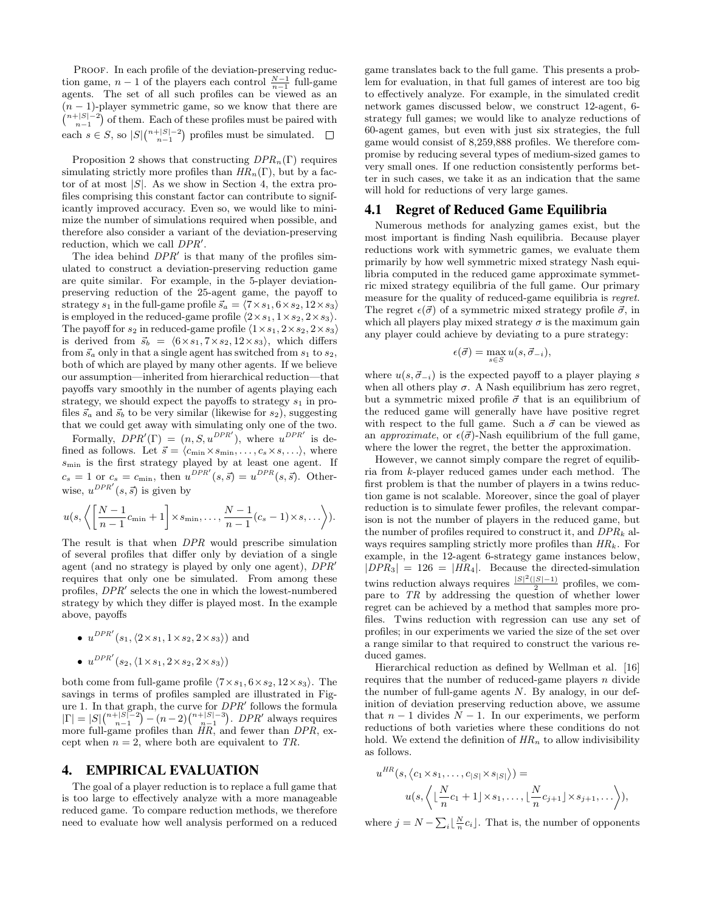PROOF. In each profile of the deviation-preserving reduction game,  $n-1$  of the players each control  $\frac{N-1}{n-1}$  full-game agents. The set of all such profiles can be viewed as an  $(n - 1)$ -player symmetric game, so we know that there are  $\binom{n+|S|-2}{n-1}$  of them. Each of these profiles must be paired with each  $s \in S$ , so  $|S| \binom{n+|S|-2}{n-1}$  profiles must be simulated.

Proposition 2 shows that constructing  $DPR_n(\Gamma)$  requires simulating strictly more profiles than  $HR_n(\Gamma)$ , but by a factor of at most  $|S|$ . As we show in Section 4, the extra profiles comprising this constant factor can contribute to significantly improved accuracy. Even so, we would like to minimize the number of simulations required when possible, and therefore also consider a variant of the deviation-preserving reduction, which we call  $DPR'$ .

The idea behind  $DPR'$  is that many of the profiles simulated to construct a deviation-preserving reduction game are quite similar. For example, in the 5-player deviationpreserving reduction of the 25-agent game, the payoff to strategy  $s_1$  in the full-game profile  $\vec{s}_a = \langle 7 \times s_1, 6 \times s_2, 12 \times s_3 \rangle$ is employed in the reduced-game profile  $\langle 2 \times s_1, 1 \times s_2, 2 \times s_3 \rangle$ . The payoff for  $s_2$  in reduced-game profile  $\langle 1 \times s_1, 2 \times s_2, 2 \times s_3 \rangle$ is derived from  $\vec{s}_b = \langle 6 \times s_1, 7 \times s_2, 12 \times s_3 \rangle$ , which differs from  $\vec{s}_a$  only in that a single agent has switched from  $s_1$  to  $s_2$ , both of which are played by many other agents. If we believe our assumption—inherited from hierarchical reduction—that payoffs vary smoothly in the number of agents playing each strategy, we should expect the payoffs to strategy  $s_1$  in profiles  $\vec{s}_a$  and  $\vec{s}_b$  to be very similar (likewise for  $s_2$ ), suggesting that we could get away with simulating only one of the two.

Formally,  $DPR'(\Gamma) = (n, S, u^{DPR'})$ , where  $u^{DPR'}$  is defined as follows. Let  $\vec{s} = \langle c_{\min} \times s_{\min}, \ldots, c_s \times s, \ldots \rangle$ , where smin is the first strategy played by at least one agent. If  $c_s = 1$  or  $c_s = c_{\text{min}}$ , then  $u^{DPR'}(s, \vec{s}) = u^{DPR}(s, \vec{s})$ . Otherwise,  $u^{DPR'}(s, \vec{s})$  is given by

$$
u(s, \left\langle \left[\frac{N-1}{n-1}c_{\min} + 1\right] \times s_{\min}, \dots, \frac{N-1}{n-1}(c_s - 1) \times s, \dots \right\rangle).
$$

The result is that when DPR would prescribe simulation of several profiles that differ only by deviation of a single agent (and no strategy is played by only one agent),  $DPR'$ requires that only one be simulated. From among these profiles,  $DPR'$  selects the one in which the lowest-numbered strategy by which they differ is played most. In the example above, payoffs

•  $u^{DPR'}(s_1,\langle 2\times s_1, 1\times s_2, 2\times s_3\rangle)$  and

$$
\bullet \ \ u^{DPR'}(s_2, \langle 1 \times s_1, 2 \times s_2, 2 \times s_3 \rangle)
$$

both come from full-game profile  $\langle 7 \times s_1, 6 \times s_2, 12 \times s_3 \rangle$ . The savings in terms of profiles sampled are illustrated in Figure 1. In that graph, the curve for  $DPR'$  follows the formula  $|\Gamma| = |S| \binom{n+|S|-2}{n-1} - (n-2) \binom{n+|S|-3}{n-1}$ . DPR' always requires more full-game profiles than HR, and fewer than DPR, except when  $n = 2$ , where both are equivalent to TR.

#### 4. EMPIRICAL EVALUATION

The goal of a player reduction is to replace a full game that is too large to effectively analyze with a more manageable reduced game. To compare reduction methods, we therefore need to evaluate how well analysis performed on a reduced game translates back to the full game. This presents a problem for evaluation, in that full games of interest are too big to effectively analyze. For example, in the simulated credit network games discussed below, we construct 12-agent, 6 strategy full games; we would like to analyze reductions of 60-agent games, but even with just six strategies, the full game would consist of 8,259,888 profiles. We therefore compromise by reducing several types of medium-sized games to very small ones. If one reduction consistently performs better in such cases, we take it as an indication that the same will hold for reductions of very large games.

#### 4.1 Regret of Reduced Game Equilibria

Numerous methods for analyzing games exist, but the most important is finding Nash equilibria. Because player reductions work with symmetric games, we evaluate them primarily by how well symmetric mixed strategy Nash equilibria computed in the reduced game approximate symmetric mixed strategy equilibria of the full game. Our primary measure for the quality of reduced-game equilibria is regret. The regret  $\epsilon(\vec{\sigma})$  of a symmetric mixed strategy profile  $\vec{\sigma}$ , in which all players play mixed strategy  $\sigma$  is the maximum gain any player could achieve by deviating to a pure strategy:

$$
\epsilon(\vec{\sigma}) = \max_{s \in S} u(s, \vec{\sigma}_{-i}),
$$

where  $u(s, \vec{\sigma}_{-i})$  is the expected payoff to a player playing s when all others play  $\sigma$ . A Nash equilibrium has zero regret, but a symmetric mixed profile  $\vec{\sigma}$  that is an equilibrium of the reduced game will generally have have positive regret with respect to the full game. Such a  $\vec{\sigma}$  can be viewed as an *approximate*, or  $\epsilon(\vec{\sigma})$ -Nash equilibrium of the full game, where the lower the regret, the better the approximation.

However, we cannot simply compare the regret of equilibria from k-player reduced games under each method. The first problem is that the number of players in a twins reduction game is not scalable. Moreover, since the goal of player reduction is to simulate fewer profiles, the relevant comparison is not the number of players in the reduced game, but the number of profiles required to construct it, and  $DPR_k$  always requires sampling strictly more profiles than  $HR_k$ . For example, in the 12-agent 6-strategy game instances below,  $|DPR_3| = 126 = |HR_4|$ . Because the directed-simulation twins reduction always requires  $\frac{|S|^2(|S|-1)}{2}$  profiles, we compare to TR by addressing the question of whether lower regret can be achieved by a method that samples more profiles. Twins reduction with regression can use any set of profiles; in our experiments we varied the size of the set over a range similar to that required to construct the various reduced games.

Hierarchical reduction as defined by Wellman et al. [16] requires that the number of reduced-game players n divide the number of full-game agents  $N$ . By analogy, in our definition of deviation preserving reduction above, we assume that  $n-1$  divides  $N-1$ . In our experiments, we perform reductions of both varieties where these conditions do not hold. We extend the definition of  $HR_n$  to allow indivisibility as follows.

$$
u^{HR}(s, \langle c_1 \times s_1, \dots, c_{|S|} \times s_{|S|} \rangle) =
$$
  
 
$$
u(s, \langle \lfloor \frac{N}{n} c_1 + 1 \rfloor \times s_1, \dots, \lfloor \frac{N}{n} c_{j+1} \rfloor \times s_{j+1}, \dots \rangle),
$$

where  $j = N - \sum_{i} \lfloor \frac{N}{n} c_i \rfloor$ . That is, the number of opponents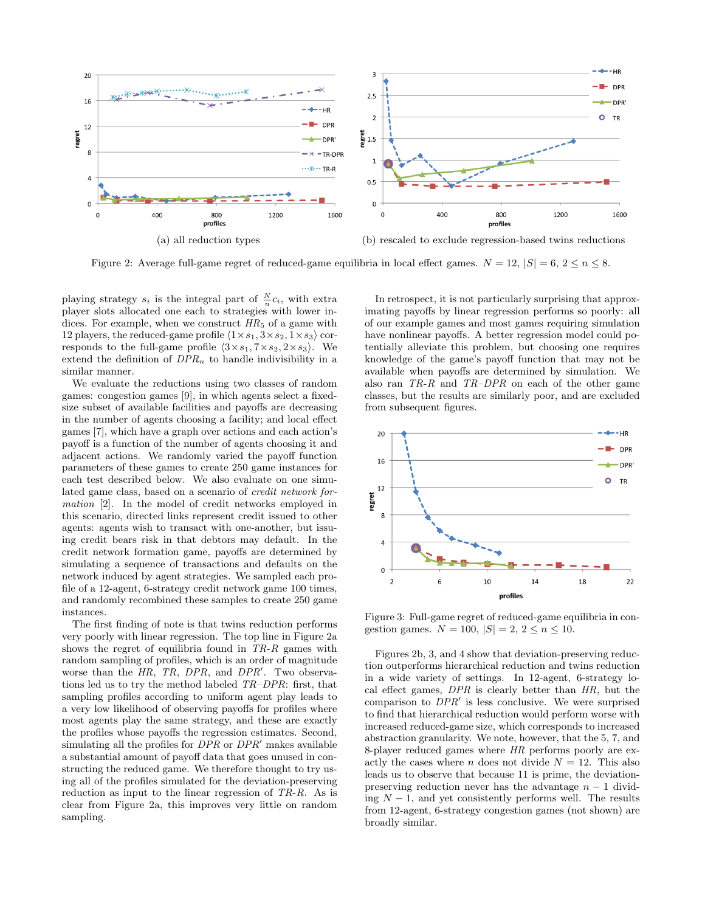

Figure 2: Average full-game regret of reduced-game equilibria in local effect games.  $N = 12$ ,  $|S| = 6$ ,  $2 \le n \le 8$ .

playing strategy  $s_i$  is the integral part of  $\frac{N}{n}c_i$ , with extra player slots allocated one each to strategies with lower indices. For example, when we construct  $HR_5$  of a game with 12 players, the reduced-game profile  $\langle 1 \times s_1, 3 \times s_2, 1 \times s_3 \rangle$  corresponds to the full-game profile  $\langle 3 \times s_1, 7 \times s_2, 2 \times s_3 \rangle$ . We extend the definition of  $DPR_n$  to handle indivisibility in a similar manner.

We evaluate the reductions using two classes of random games: congestion games [9], in which agents select a fixedsize subset of available facilities and payoffs are decreasing in the number of agents choosing a facility; and local effect games [7], which have a graph over actions and each action's payoff is a function of the number of agents choosing it and adjacent actions. We randomly varied the payoff function parameters of these games to create 250 game instances for each test described below. We also evaluate on one simulated game class, based on a scenario of credit network formation [2]. In the model of credit networks employed in this scenario, directed links represent credit issued to other agents: agents wish to transact with one-another, but issuing credit bears risk in that debtors may default. In the credit network formation game, payoffs are determined by simulating a sequence of transactions and defaults on the network induced by agent strategies. We sampled each profile of a 12-agent, 6-strategy credit network game 100 times, and randomly recombined these samples to create 250 game instances.

The first finding of note is that twins reduction performs very poorly with linear regression. The top line in Figure 2a shows the regret of equilibria found in  $TR-R$  games with random sampling of profiles, which is an order of magnitude worse than the  $HR$ ,  $TR$ ,  $DPR$ , and  $DPR'$ . Two observations led us to try the method labeled TR–DPR: first, that sampling profiles according to uniform agent play leads to a very low likelihood of observing payoffs for profiles where most agents play the same strategy, and these are exactly the profiles whose payoffs the regression estimates. Second, simulating all the profiles for  $DPR$  or  $DPR'$  makes available a substantial amount of payoff data that goes unused in constructing the reduced game. We therefore thought to try using all of the profiles simulated for the deviation-preserving reduction as input to the linear regression of TR-R. As is clear from Figure 2a, this improves very little on random sampling.

In retrospect, it is not particularly surprising that approximating payoffs by linear regression performs so poorly: all of our example games and most games requiring simulation have nonlinear payoffs. A better regression model could potentially alleviate this problem, but choosing one requires knowledge of the game's payoff function that may not be available when payoffs are determined by simulation. We also ran  $TR-R$  and  $TR-DPR$  on each of the other game classes, but the results are similarly poor, and are excluded from subsequent figures.



Figure 3: Full-game regret of reduced-game equilibria in congestion games.  $N = 100, |S| = 2, 2 \le n \le 10$ .

Figures 2b, 3, and 4 show that deviation-preserving reduction outperforms hierarchical reduction and twins reduction in a wide variety of settings. In 12-agent, 6-strategy local effect games, DPR is clearly better than HR, but the comparison to  $DPR'$  is less conclusive. We were surprised to find that hierarchical reduction would perform worse with increased reduced-game size, which corresponds to increased abstraction granularity. We note, however, that the 5, 7, and 8-player reduced games where HR performs poorly are exactly the cases where *n* does not divide  $N = 12$ . This also leads us to observe that because 11 is prime, the deviationpreserving reduction never has the advantage  $n - 1$  dividing  $N-1$ , and yet consistently performs well. The results from 12-agent, 6-strategy congestion games (not shown) are broadly similar.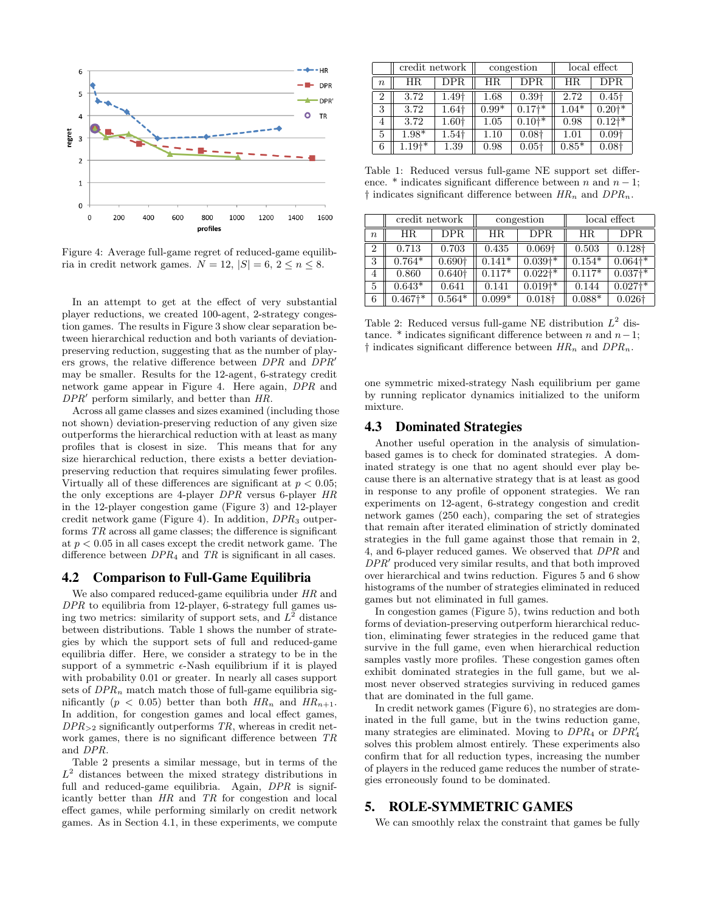

Figure 4: Average full-game regret of reduced-game equilibria in credit network games.  $N = 12$ ,  $|S| = 6$ ,  $2 \le n \le 8$ .

In an attempt to get at the effect of very substantial player reductions, we created 100-agent, 2-strategy congestion games. The results in Figure 3 show clear separation between hierarchical reduction and both variants of deviationpreserving reduction, suggesting that as the number of players grows, the relative difference between  $DPR$  and  $DPR'$ may be smaller. Results for the 12-agent, 6-strategy credit network game appear in Figure 4. Here again, DPR and  $DPR'$  perform similarly, and better than  $HR$ .

Across all game classes and sizes examined (including those not shown) deviation-preserving reduction of any given size outperforms the hierarchical reduction with at least as many profiles that is closest in size. This means that for any size hierarchical reduction, there exists a better deviationpreserving reduction that requires simulating fewer profiles. Virtually all of these differences are significant at  $p < 0.05$ ; the only exceptions are 4-player DPR versus 6-player HR in the 12-player congestion game (Figure 3) and 12-player credit network game (Figure 4). In addition,  $DPR_3$  outperforms TR across all game classes; the difference is significant at  $p < 0.05$  in all cases except the credit network game. The difference between  $DPR<sub>4</sub>$  and  $TR$  is significant in all cases.

#### 4.2 Comparison to Full-Game Equilibria

We also compared reduced-game equilibria under HR and DPR to equilibria from 12-player, 6-strategy full games using two metrics: similarity of support sets, and  $L^2$  distance between distributions. Table 1 shows the number of strategies by which the support sets of full and reduced-game equilibria differ. Here, we consider a strategy to be in the support of a symmetric  $\epsilon$ -Nash equilibrium if it is played with probability 0.01 or greater. In nearly all cases support sets of  $DPR_n$  match match those of full-game equilibria significantly ( $p < 0.05$ ) better than both  $HR_n$  and  $HR_{n+1}$ . In addition, for congestion games and local effect games,  $DPR_{\geq 2}$  significantly outperforms TR, whereas in credit network games, there is no significant difference between TR and DPR.

Table 2 presents a similar message, but in terms of the  $L^2$  distances between the mixed strategy distributions in full and reduced-game equilibria. Again, DPR is significantly better than HR and TR for congestion and local effect games, while performing similarly on credit network games. As in Section 4.1, in these experiments, we compute

|                  | credit network |               | congestion |                   | local effect |                     |
|------------------|----------------|---------------|------------|-------------------|--------------|---------------------|
| $\boldsymbol{n}$ | HR.            | DPR           | ΗR         | DPR               | ΗR           | <b>DPR</b>          |
| 2                | 3.72           | 1.49†         | 1.68       | 0.39 <sup>†</sup> | 2.72         | $0.45\dagger$       |
| 3                | 3.72           | 1.64†         | $0.99*$    | $0.17^{+*}$       | $1.04*$      | $0.20^{+*}$         |
| 4                | 3.72           | $1.60\dagger$ | 1.05       | $0.10^{+*}$       | 0.98         | $0.12$ <sup>*</sup> |
| 5                | $1.98*$        | 1.54†         | 1.10       | 0.08 <sub>†</sub> | 1.01         | 0.09 <sub>†</sub>   |
| 6                | $1.19^{+*}$    | 1.39          | 0.98       | $0.05\dagger$     | $0.85*$      | 0.08 <sub>†</sub>   |

Table 1: Reduced versus full-game NE support set difference. \* indicates significant difference between n and  $n-1$ ;  $\dagger$  indicates significant difference between  $HR_n$  and  $DPR_n$ .

|                  | credit network       |                    | congestion |                       | local effect |                      |
|------------------|----------------------|--------------------|------------|-----------------------|--------------|----------------------|
| $\boldsymbol{n}$ | HR.                  | DPR                | ΗR         | <b>DPR</b>            | HR.          | DPR.                 |
| $\overline{2}$   | 0.713                | 0.703              | 0.435      | $0.069\dagger$        | 0.503        | $0.128\dagger$       |
| 3                | $0.764*$             | 0.690 <sup>†</sup> | $0.141*$   | $0.039$ <sup>+*</sup> | $0.154*$     | $0.064$ <sup>*</sup> |
| 4                | 0.860                | 0.640 <sup>†</sup> | $0.117*$   | $0.022$ <sup>*</sup>  | $0.117*$     | $0.037^{**}$         |
| 5                | $0.643*$             | 0.641              | 0.141      | $0.019$ <sup>*</sup>  | 0.144        | $0.027$ <sup>*</sup> |
| 6                | $0.467$ <sup>*</sup> | $0.564*$           | $0.099*$   | $0.018\dagger$        | $0.088*$     | $0.026\dagger$       |

Table 2: Reduced versus full-game NE distribution  $L^2$  distance. \* indicates significant difference between n and  $n-1$ ;  $\dagger$  indicates significant difference between  $HR_n$  and  $DPR_n$ .

one symmetric mixed-strategy Nash equilibrium per game by running replicator dynamics initialized to the uniform mixture.

#### 4.3 Dominated Strategies

Another useful operation in the analysis of simulationbased games is to check for dominated strategies. A dominated strategy is one that no agent should ever play because there is an alternative strategy that is at least as good in response to any profile of opponent strategies. We ran experiments on 12-agent, 6-strategy congestion and credit network games (250 each), comparing the set of strategies that remain after iterated elimination of strictly dominated strategies in the full game against those that remain in 2, 4, and 6-player reduced games. We observed that DPR and  $DPR'$  produced very similar results, and that both improved over hierarchical and twins reduction. Figures 5 and 6 show histograms of the number of strategies eliminated in reduced games but not eliminated in full games.

In congestion games (Figure 5), twins reduction and both forms of deviation-preserving outperform hierarchical reduction, eliminating fewer strategies in the reduced game that survive in the full game, even when hierarchical reduction samples vastly more profiles. These congestion games often exhibit dominated strategies in the full game, but we almost never observed strategies surviving in reduced games that are dominated in the full game.

In credit network games (Figure 6), no strategies are dominated in the full game, but in the twins reduction game, many strategies are eliminated. Moving to  $DPR<sub>4</sub>$  or  $DPR<sub>4</sub>$ solves this problem almost entirely. These experiments also confirm that for all reduction types, increasing the number of players in the reduced game reduces the number of strategies erroneously found to be dominated.

## 5. ROLE-SYMMETRIC GAMES

We can smoothly relax the constraint that games be fully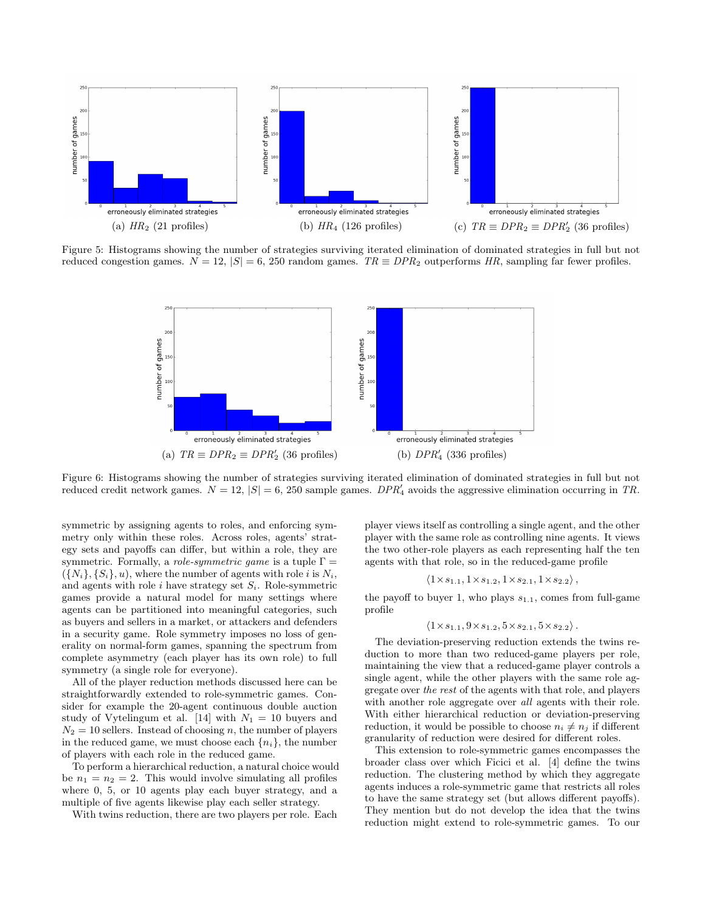

Figure 5: Histograms showing the number of strategies surviving iterated elimination of dominated strategies in full but not reduced congestion games.  $N = 12$ ,  $|S| = 6$ , 250 random games. TR  $\equiv DPR_2$  outperforms HR, sampling far fewer profiles.



Figure 6: Histograms showing the number of strategies surviving iterated elimination of dominated strategies in full but not reduced credit network games.  $N = 12$ ,  $|S| = 6$ , 250 sample games.  $DPR'_{4}$  avoids the aggressive elimination occurring in TR.

symmetric by assigning agents to roles, and enforcing symmetry only within these roles. Across roles, agents' strategy sets and payoffs can differ, but within a role, they are symmetric. Formally, a *role-symmetric game* is a tuple  $\Gamma =$  $({N_i}, {S_i}, u)$ , where the number of agents with role i is  $N_i$ , and agents with role i have strategy set  $S_i$ . Role-symmetric games provide a natural model for many settings where agents can be partitioned into meaningful categories, such as buyers and sellers in a market, or attackers and defenders in a security game. Role symmetry imposes no loss of generality on normal-form games, spanning the spectrum from complete asymmetry (each player has its own role) to full symmetry (a single role for everyone).

All of the player reduction methods discussed here can be straightforwardly extended to role-symmetric games. Consider for example the 20-agent continuous double auction study of Vytelingum et al. [14] with  $N_1 = 10$  buyers and  $N_2 = 10$  sellers. Instead of choosing n, the number of players in the reduced game, we must choose each  $\{n_i\}$ , the number of players with each role in the reduced game.

To perform a hierarchical reduction, a natural choice would be  $n_1 = n_2 = 2$ . This would involve simulating all profiles where 0, 5, or 10 agents play each buyer strategy, and a multiple of five agents likewise play each seller strategy.

With twins reduction, there are two players per role. Each

player views itself as controlling a single agent, and the other player with the same role as controlling nine agents. It views the two other-role players as each representing half the ten agents with that role, so in the reduced-game profile

$$
\langle 1 \times s_{1.1}, 1 \times s_{1.2}, 1 \times s_{2.1}, 1 \times s_{2.2} \rangle
$$

the payoff to buyer 1, who plays  $s_{1,1}$ , comes from full-game profile

$$
\langle 1 \times s_{1.1}, 9 \times s_{1.2}, 5 \times s_{2.1}, 5 \times s_{2.2} \rangle
$$
.

The deviation-preserving reduction extends the twins reduction to more than two reduced-game players per role, maintaining the view that a reduced-game player controls a single agent, while the other players with the same role aggregate over the rest of the agents with that role, and players with another role aggregate over *all* agents with their role. With either hierarchical reduction or deviation-preserving reduction, it would be possible to choose  $n_i \neq n_j$  if different granularity of reduction were desired for different roles.

This extension to role-symmetric games encompasses the broader class over which Ficici et al. [4] define the twins reduction. The clustering method by which they aggregate agents induces a role-symmetric game that restricts all roles to have the same strategy set (but allows different payoffs). They mention but do not develop the idea that the twins reduction might extend to role-symmetric games. To our